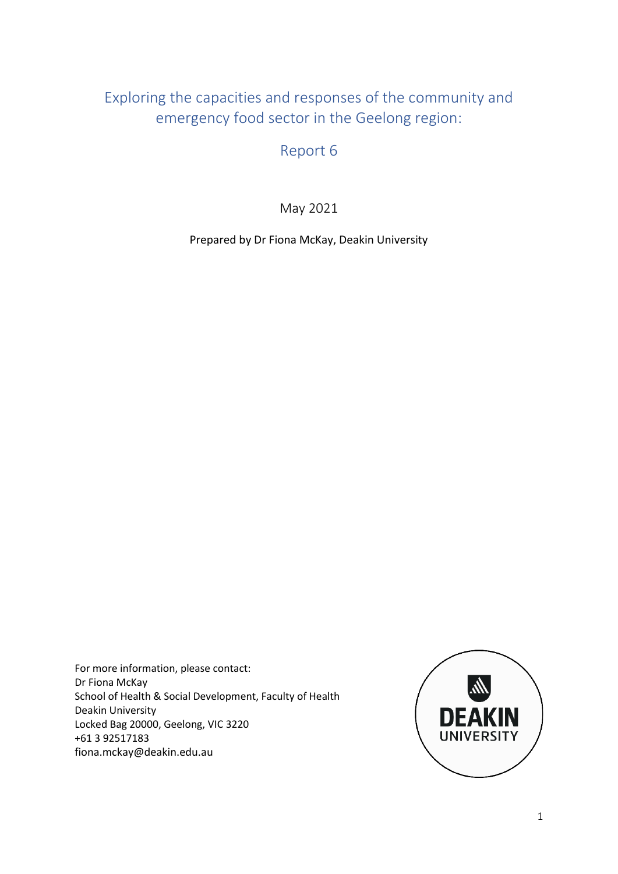# Exploring the capacities and responses of the community and emergency food sector in the Geelong region:

Report 6

May 2021

Prepared by Dr Fiona McKay, Deakin University

For more information, please contact: Dr Fiona McKay School of Health & Social Development, Faculty of Health Deakin University Locked Bag 20000, Geelong, VIC 3220 +61 3 92517183 fiona.mckay@deakin.edu.au

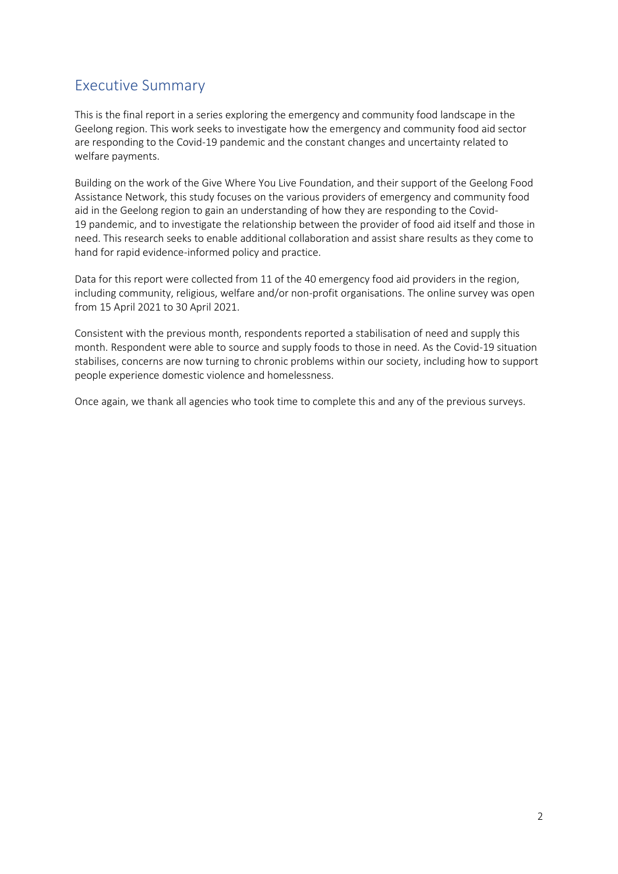# Executive Summary

This is the final report in a series exploring the emergency and community food landscape in the Geelong region. This work seeks to investigate how the emergency and community food aid sector are responding to the Covid-19 pandemic and the constant changes and uncertainty related to welfare payments.

Building on the work of the Give Where You Live Foundation, and their support of the Geelong Food Assistance Network, this study focuses on the various providers of emergency and community food aid in the Geelong region to gain an understanding of how they are responding to the Covid-19 pandemic, and to investigate the relationship between the provider of food aid itself and those in need. This research seeks to enable additional collaboration and assist share results as they come to hand for rapid evidence-informed policy and practice.

Data for this report were collected from 11 of the 40 emergency food aid providers in the region, including community, religious, welfare and/or non-profit organisations. The online survey was open from 15 April 2021 to 30 April 2021.

Consistent with the previous month, respondents reported a stabilisation of need and supply this month. Respondent were able to source and supply foods to those in need. As the Covid-19 situation stabilises, concerns are now turning to chronic problems within our society, including how to support people experience domestic violence and homelessness.

Once again, we thank all agencies who took time to complete this and any of the previous surveys.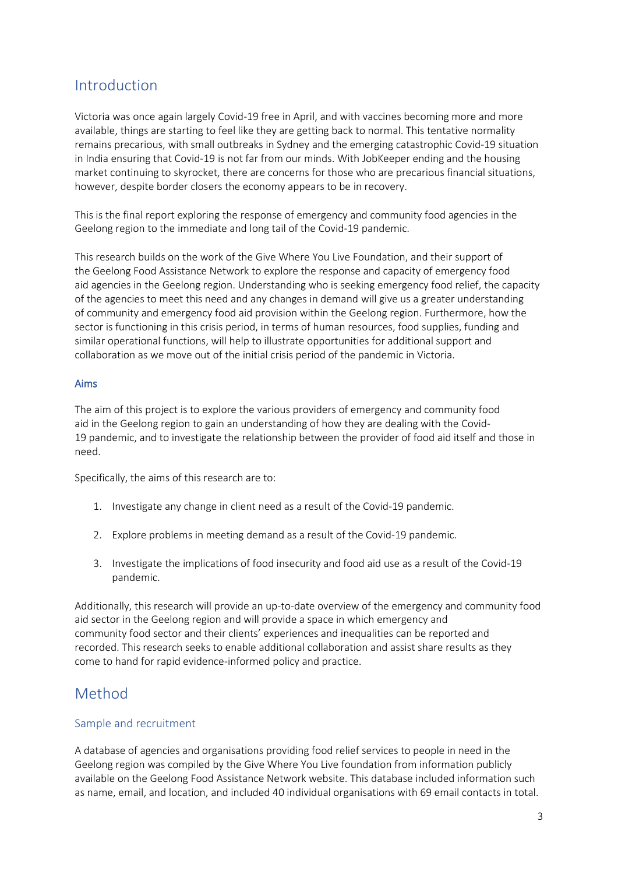## Introduction

Victoria was once again largely Covid-19 free in April, and with vaccines becoming more and more available, things are starting to feel like they are getting back to normal. This tentative normality remains precarious, with small outbreaks in Sydney and the emerging catastrophic Covid-19 situation in India ensuring that Covid-19 is not far from our minds. With JobKeeper ending and the housing market continuing to skyrocket, there are concerns for those who are precarious financial situations, however, despite border closers the economy appears to be in recovery.

This is the final report exploring the response of emergency and community food agencies in the Geelong region to the immediate and long tail of the Covid-19 pandemic.

This research builds on the work of the Give Where You Live Foundation, and their support of the Geelong Food Assistance Network to explore the response and capacity of emergency food aid agencies in the Geelong region. Understanding who is seeking emergency food relief, the capacity of the agencies to meet this need and any changes in demand will give us a greater understanding of community and emergency food aid provision within the Geelong region. Furthermore, how the sector is functioning in this crisis period, in terms of human resources, food supplies, funding and similar operational functions, will help to illustrate opportunities for additional support and collaboration as we move out of the initial crisis period of the pandemic in Victoria.

#### Aims

The aim of this project is to explore the various providers of emergency and community food aid in the Geelong region to gain an understanding of how they are dealing with the Covid-19 pandemic, and to investigate the relationship between the provider of food aid itself and those in need.

Specifically, the aims of this research are to:

- 1. Investigate any change in client need as a result of the Covid-19 pandemic.
- 2. Explore problems in meeting demand as a result of the Covid-19 pandemic.
- 3. Investigate the implications of food insecurity and food aid use as a result of the Covid-19 pandemic.

Additionally, this research will provide an up-to-date overview of the emergency and community food aid sector in the Geelong region and will provide a space in which emergency and community food sector and their clients' experiences and inequalities can be reported and recorded. This research seeks to enable additional collaboration and assist share results as they come to hand for rapid evidence-informed policy and practice.

### Method

#### Sample and recruitment

A database of agencies and organisations providing food relief services to people in need in the Geelong region was compiled by the Give Where You Live foundation from information publicly available on the Geelong Food Assistance Network website. This database included information such as name, email, and location, and included 40 individual organisations with 69 email contacts in total.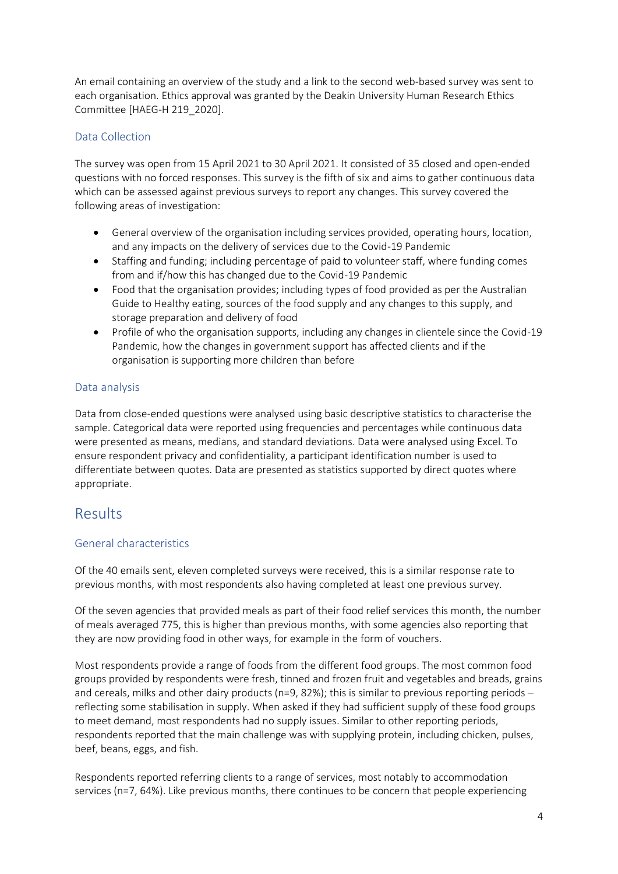An email containing an overview of the study and a link to the second web-based survey was sent to each organisation. Ethics approval was granted by the Deakin University Human Research Ethics Committee [HAEG-H 219\_2020].

#### Data Collection

The survey was open from 15 April 2021 to 30 April 2021. It consisted of 35 closed and open-ended questions with no forced responses. This survey is the fifth of six and aims to gather continuous data which can be assessed against previous surveys to report any changes. This survey covered the following areas of investigation:

- General overview of the organisation including services provided, operating hours, location, and any impacts on the delivery of services due to the Covid-19 Pandemic
- Staffing and funding; including percentage of paid to volunteer staff, where funding comes from and if/how this has changed due to the Covid-19 Pandemic
- Food that the organisation provides; including types of food provided as per the Australian Guide to Healthy eating, sources of the food supply and any changes to this supply, and storage preparation and delivery of food
- Profile of who the organisation supports, including any changes in clientele since the Covid-19 Pandemic, how the changes in government support has affected clients and if the organisation is supporting more children than before

#### Data analysis

Data from close-ended questions were analysed using basic descriptive statistics to characterise the sample. Categorical data were reported using frequencies and percentages while continuous data were presented as means, medians, and standard deviations. Data were analysed using Excel. To ensure respondent privacy and confidentiality, a participant identification number is used to differentiate between quotes. Data are presented as statistics supported by direct quotes where appropriate.

### Results

#### General characteristics

Of the 40 emails sent, eleven completed surveys were received, this is a similar response rate to previous months, with most respondents also having completed at least one previous survey.

Of the seven agencies that provided meals as part of their food relief services this month, the number of meals averaged 775, this is higher than previous months, with some agencies also reporting that they are now providing food in other ways, for example in the form of vouchers.

Most respondents provide a range of foods from the different food groups. The most common food groups provided by respondents were fresh, tinned and frozen fruit and vegetables and breads, grains and cereals, milks and other dairy products (n=9, 82%); this is similar to previous reporting periods – reflecting some stabilisation in supply. When asked if they had sufficient supply of these food groups to meet demand, most respondents had no supply issues. Similar to other reporting periods, respondents reported that the main challenge was with supplying protein, including chicken, pulses, beef, beans, eggs, and fish.

Respondents reported referring clients to a range of services, most notably to accommodation services (n=7, 64%). Like previous months, there continues to be concern that people experiencing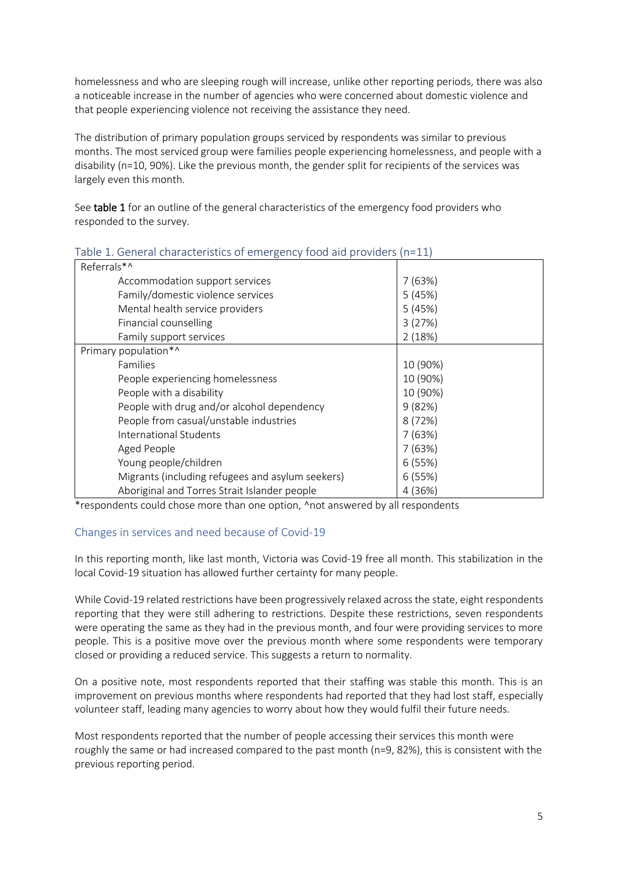homelessness and who are sleeping rough will increase, unlike other reporting periods, there was also a noticeable increase in the number of agencies who were concerned about domestic violence and that people experiencing violence not receiving the assistance they need.

The distribution of primary population groups serviced by respondents was similar to previous months. The most serviced group were families people experiencing homelessness, and people with a disability (n=10, 90%). Like the previous month, the gender split for recipients of the services was largely even this month.

See table 1 for an outline of the general characteristics of the emergency food providers who responded to the survey.

| $\frac{1}{2}$ able 1. Octilcial characteristics of child gency tool all providers (if $\pm 1$ |          |  |  |
|-----------------------------------------------------------------------------------------------|----------|--|--|
| Referrals*^                                                                                   |          |  |  |
| Accommodation support services                                                                | 7(63%)   |  |  |
| Family/domestic violence services                                                             | 5(45%)   |  |  |
| Mental health service providers                                                               | 5(45%)   |  |  |
| Financial counselling                                                                         | 3(27%)   |  |  |
| Family support services                                                                       | 2(18%)   |  |  |
| Primary population*^                                                                          |          |  |  |
| Families                                                                                      | 10 (90%) |  |  |
| People experiencing homelessness                                                              | 10 (90%) |  |  |
| People with a disability                                                                      | 10 (90%) |  |  |
| People with drug and/or alcohol dependency                                                    | 9(82%)   |  |  |
| People from casual/unstable industries                                                        | 8(72%)   |  |  |
| International Students                                                                        | 7(63%)   |  |  |
| Aged People                                                                                   | 7(63%)   |  |  |
| Young people/children                                                                         | 6(55%)   |  |  |
| Migrants (including refugees and asylum seekers)                                              | 6(55%)   |  |  |
| Aboriginal and Torres Strait Islander people                                                  | 4 (36%)  |  |  |

#### Table 1. General characteristics of emergency food aid providers (n=11)

\*respondents could chose more than one option, ^not answered by all respondents

#### Changes in services and need because of Covid-19

In this reporting month, like last month, Victoria was Covid-19 free all month. This stabilization in the local Covid-19 situation has allowed further certainty for many people.

While Covid-19 related restrictions have been progressively relaxed across the state, eight respondents reporting that they were still adhering to restrictions. Despite these restrictions, seven respondents were operating the same as they had in the previous month, and four were providing services to more people. This is a positive move over the previous month where some respondents were temporary closed or providing a reduced service. This suggests a return to normality.

On a positive note, most respondents reported that their staffing was stable this month. This is an improvement on previous months where respondents had reported that they had lost staff, especially volunteer staff, leading many agencies to worry about how they would fulfil their future needs.

Most respondents reported that the number of people accessing their services this month were roughly the same or had increased compared to the past month (n=9, 82%), this is consistent with the previous reporting period.